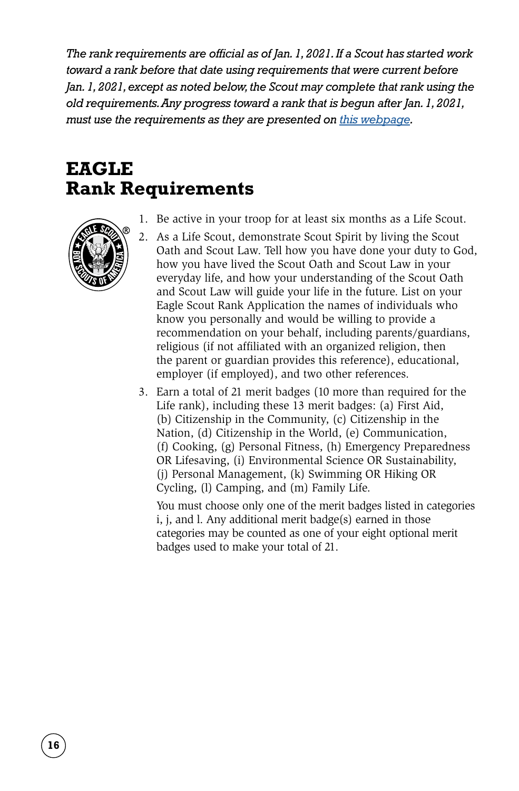*The rank requirements are official as of Jan. 1, 2021. If a Scout has started work toward a rank before that date using requirements that were current before Jan. 1, 2021, except as noted below, the Scout may complete that rank using the old requirements. Any progress toward a rank that is begun after Jan. 1, 2021, must use the requirements as they are presented on [this webpage.](https://www.scouting.org/programs/scouts-bsa/advancement-and-awards/merit-badges/)*

# **EAGLE Rank Requirements**



- 1. Be active in your troop for at least six months as a Life Scout.
- 2. As a Life Scout, demonstrate Scout Spirit by living the Scout Oath and Scout Law. Tell how you have done your duty to God, how you have lived the Scout Oath and Scout Law in your everyday life, and how your understanding of the Scout Oath and Scout Law will guide your life in the future. List on your Eagle Scout Rank Application the names of individuals who know you personally and would be willing to provide a recommendation on your behalf, including parents/guardians, religious (if not affiliated with an organized religion, then the parent or guardian provides this reference), educational, employer (if employed), and two other references.
- 3. Earn a total of 21 merit badges (10 more than required for the Life rank), including these 13 merit badges: (a) First Aid, (b) Citizenship in the Community, (c) Citizenship in the Nation, (d) Citizenship in the World, (e) Communication, (f) Cooking, (g) Personal Fitness, (h) Emergency Preparedness OR Lifesaving, (i) Environmental Science OR Sustainability, (j) Personal Management, (k) Swimming OR Hiking OR Cycling, (l) Camping, and (m) Family Life.

 You must choose only one of the merit badges listed in categories i, j, and l. Any additional merit badge(s) earned in those categories may be counted as one of your eight optional merit badges used to make your total of 21.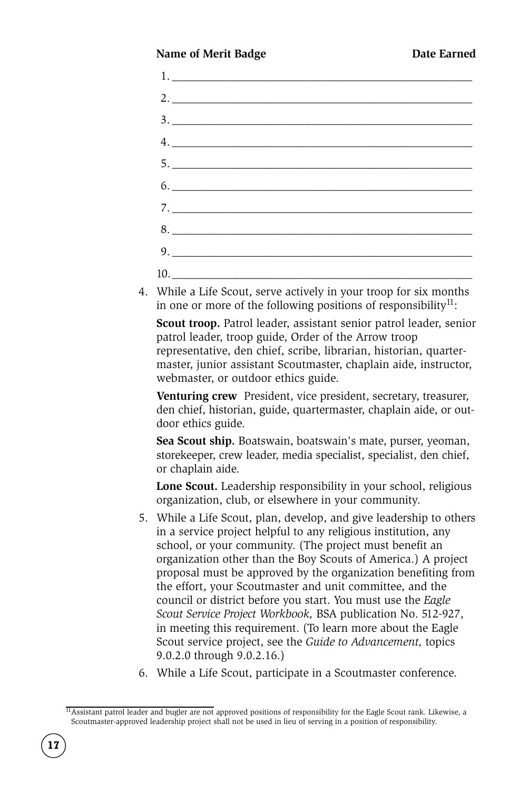### **Name of Merit Badge <b>Date Earned**

| 7. |  |  |
|----|--|--|
| 8. |  |  |
| 9. |  |  |
|    |  |  |

4. While a Life Scout, serve actively in your troop for six months in one or more of the following positions of responsibility<sup>11</sup>:

 **Scout troop.** Patrol leader, assistant senior patrol leader, senior patrol leader, troop guide, Order of the Arrow troop representative, den chief, scribe, librarian, historian, quartermaster, junior assistant Scoutmaster, chaplain aide, instructor, webmaster, or outdoor ethics guide.

 **Venturing crew** President, vice president, secretary, treasurer, den chief, historian, guide, quartermaster, chaplain aide, or outdoor ethics guide.

 **Sea Scout ship.** Boatswain, boatswain's mate, purser, yeoman, storekeeper, crew leader, media specialist, specialist, den chief, or chaplain aide.

 **Lone Scout.** Leadership responsibility in your school, religious organization, club, or elsewhere in your community.

- 5. While a Life Scout, plan, develop, and give leadership to others in a service project helpful to any religious institution, any school, or your community. (The project must benefit an organization other than the Boy Scouts of America.) A project proposal must be approved by the organization benefiting from the effort, your Scoutmaster and unit committee, and the council or district before you start. You must use the *Eagle Scout Service Project Workbook,* BSA publication No. 512-927, in meeting this requirement. (To learn more about the Eagle Scout service project, see the *Guide to Advancement,* topics 9.0.2.0 through 9.0.2.16.)
- 6. While a Life Scout, participate in a Scoutmaster conference.

 $\overline{11}$ Assistant patrol leader and bugler are not approved positions of responsibility for the Eagle Scout rank. Likewise, a Scoutmaster-approved leadership project shall not be used in lieu of serving in a position of responsibility.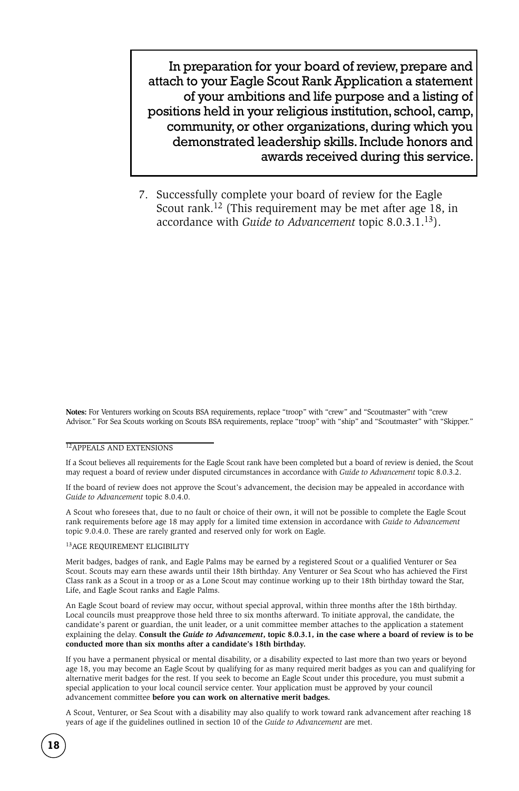In preparation for your board of review, prepare and attach to your Eagle Scout Rank Application a statement of your ambitions and life purpose and a listing of positions held in your religious institution, school, camp, community, or other organizations, during which you demonstrated leadership skills. Include honors and awards received during this service.

7. Successfully complete your board of review for the Eagle Scout rank.12 (This requirement may be met after age 18, in accordance with *Guide to Advancement* topic 8.0.3.1.13).

**Notes:** For Venturers working on Scouts BSA requirements, replace "troop" with "crew" and "Scoutmaster" with "crew Advisor." For Sea Scouts working on Scouts BSA requirements, replace "troop" with "ship" and "Scoutmaster" with "Skipper."

#### 12APPEALS AND EXTENSIONS

If a Scout believes all requirements for the Eagle Scout rank have been completed but a board of review is denied, the Scout may request a board of review under disputed circumstances in accordance with *Guide to Advancement* topic 8.0.3.2.

If the board of review does not approve the Scout's advancement, the decision may be appealed in accordance with *Guide to Advancement* topic 8.0.4.0.

A Scout who foresees that, due to no fault or choice of their own, it will not be possible to complete the Eagle Scout rank requirements before age 18 may apply for a limited time extension in accordance with *Guide to Advancement*  topic 9.0.4.0. These are rarely granted and reserved only for work on Eagle.

#### 13AGE REQUIREMENT ELIGIBILITY

Merit badges, badges of rank, and Eagle Palms may be earned by a registered Scout or a qualified Venturer or Sea Scout. Scouts may earn these awards until their 18th birthday. Any Venturer or Sea Scout who has achieved the First Class rank as a Scout in a troop or as a Lone Scout may continue working up to their 18th birthday toward the Star, Life, and Eagle Scout ranks and Eagle Palms.

An Eagle Scout board of review may occur, without special approval, within three months after the 18th birthday. Local councils must preapprove those held three to six months afterward. To initiate approval, the candidate, the candidate's parent or guardian, the unit leader, or a unit committee member attaches to the application a statement explaining the delay. **Consult the** *Guide to Advancement***, topic 8.0.3.1, in the case where a board of review is to be conducted more than six months after a candidate's 18th birthday.**

If you have a permanent physical or mental disability, or a disability expected to last more than two years or beyond age 18, you may become an Eagle Scout by qualifying for as many required merit badges as you can and qualifying for alternative merit badges for the rest. If you seek to become an Eagle Scout under this procedure, you must submit a special application to your local council service center. Your application must be approved by your council advancement committee **before you can work on alternative merit badges.**

A Scout, Venturer, or Sea Scout with a disability may also qualify to work toward rank advancement after reaching 18 years of age if the guidelines outlined in section 10 of the *Guide to Advancement* are met.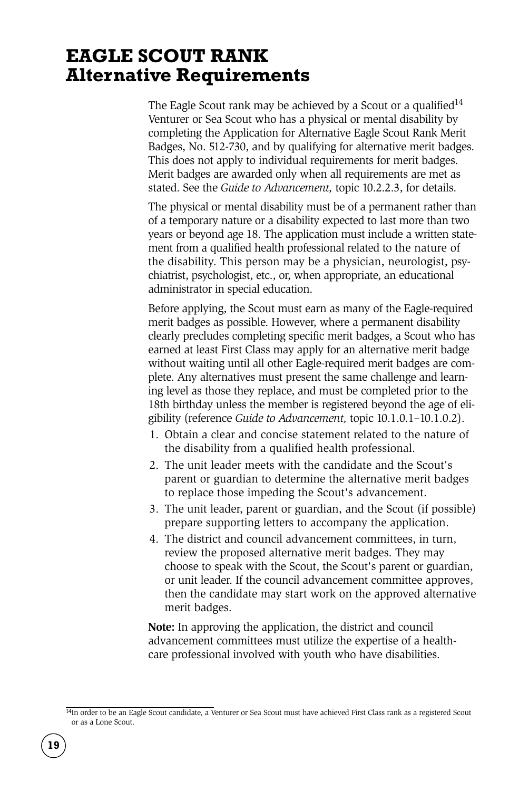### **EAGLE SCOUT RANK Alternative Requirements**

The Eagle Scout rank may be achieved by a Scout or a qualified<sup>14</sup> Venturer or Sea Scout who has a physical or mental disability by completing the Application for Alternative Eagle Scout Rank Merit Badges, No. 512-730, and by qualifying for alternative merit badges. This does not apply to individual requirements for merit badges. Merit badges are awarded only when all requirements are met as stated. See the *Guide to Advancement,* topic 10.2.2.3, for details.

The physical or mental disability must be of a permanent rather than of a temporary nature or a disability expected to last more than two years or beyond age 18. The application must include a written statement from a qualified health professional related to the nature of the disability. This person may be a physician, neurologist, psychiatrist, psychologist, etc., or, when appropriate, an educational administrator in special education.

Before applying, the Scout must earn as many of the Eagle-required merit badges as possible. However, where a permanent disability clearly precludes completing specific merit badges, a Scout who has earned at least First Class may apply for an alternative merit badge without waiting until all other Eagle-required merit badges are complete. Any alternatives must present the same challenge and learning level as those they replace, and must be completed prior to the 18th birthday unless the member is registered beyond the age of eligibility (reference *Guide to Advancement,* topic 10.1.0.1–10.1.0.2).

- 1. Obtain a clear and concise statement related to the nature of the disability from a qualified health professional.
- 2. The unit leader meets with the candidate and the Scout's parent or guardian to determine the alternative merit badges to replace those impeding the Scout's advancement.
- 3. The unit leader, parent or guardian, and the Scout (if possible) prepare supporting letters to accompany the application.
- 4. The district and council advancement committees, in turn, review the proposed alternative merit badges. They may choose to speak with the Scout, the Scout's parent or guardian, or unit leader. If the council advancement committee approves, then the candidate may start work on the approved alternative merit badges.

**Note:** In approving the application, the district and council advancement committees must utilize the expertise of a healthcare professional involved with youth who have disabilities.

<sup>14</sup>In order to be an Eagle Scout candidate, a Venturer or Sea Scout must have achieved First Class rank as a registered Scout or as a Lone Scout.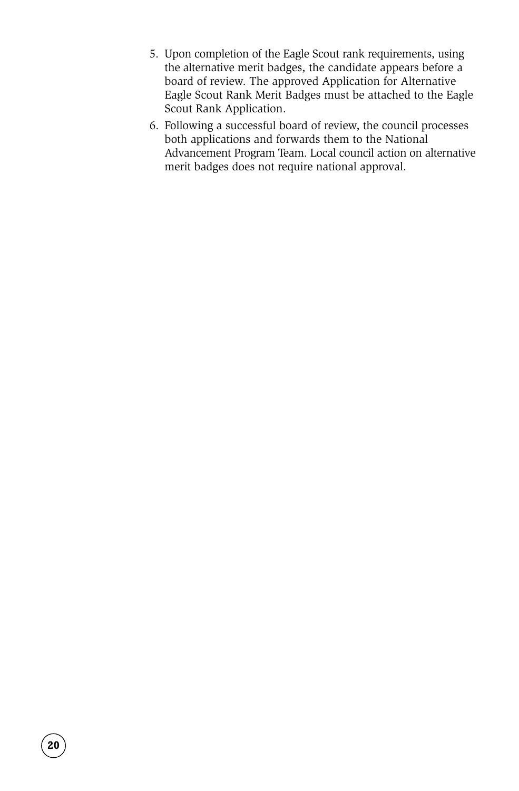- 5. Upon completion of the Eagle Scout rank requirements, using the alternative merit badges, the candidate appears before a board of review. The approved Application for Alternative Eagle Scout Rank Merit Badges must be attached to the Eagle Scout Rank Application.
- 6. Following a successful board of review, the council processes both applications and forwards them to the National Advancement Program Team. Local council action on alternative merit badges does not require national approval.